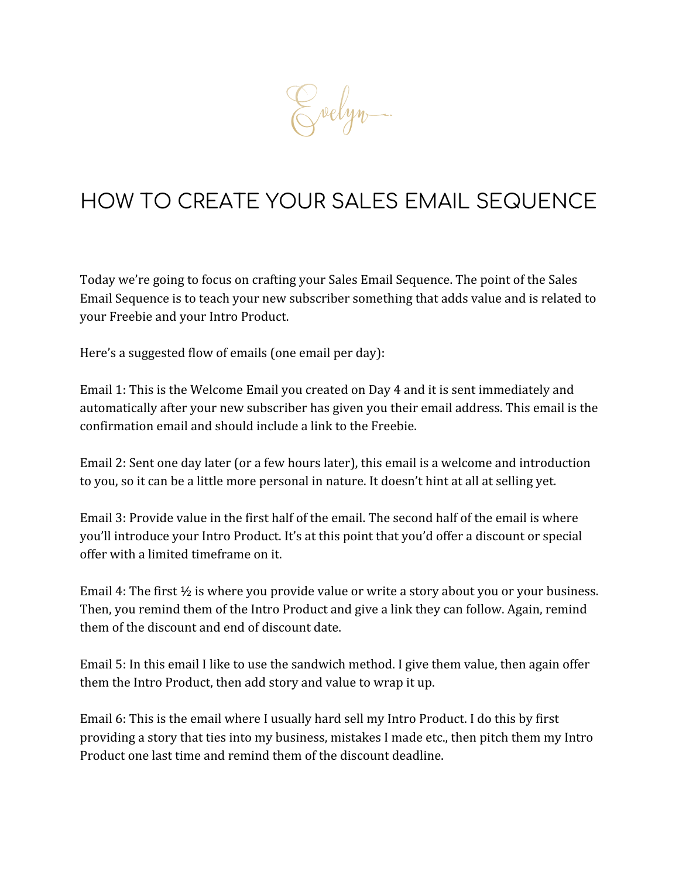Evelyn.

# HOW TO CREATE YOUR SALES EMAIL SEQUENCE

Today we're going to focus on crafting your Sales Email Sequence. The point of the Sales Email Sequence is to teach your new subscriber something that adds value and is related to your Freebie and your Intro Product.

Here's a suggested flow of emails (one email per day):

Email 1: This is the Welcome Email you created on Day 4 and it is sent immediately and automatically after your new subscriber has given you their email address. This email is the confirmation email and should include a link to the Freebie.

Email 2: Sent one day later (or a few hours later), this email is a welcome and introduction to you, so it can be a little more personal in nature. It doesn't hint at all at selling yet.

Email 3: Provide value in the first half of the email. The second half of the email is where you'll introduce your Intro Product. It's at this point that you'd offer a discount or special offer with a limited timeframe on it.

Email 4: The first  $\frac{1}{2}$  is where you provide value or write a story about you or your business. Then, you remind them of the Intro Product and give a link they can follow. Again, remind them of the discount and end of discount date.

Email 5: In this email I like to use the sandwich method. I give them value, then again offer them the Intro Product, then add story and value to wrap it up.

Email 6: This is the email where I usually hard sell my Intro Product. I do this by first providing a story that ties into my business, mistakes I made etc., then pitch them my Intro Product one last time and remind them of the discount deadline.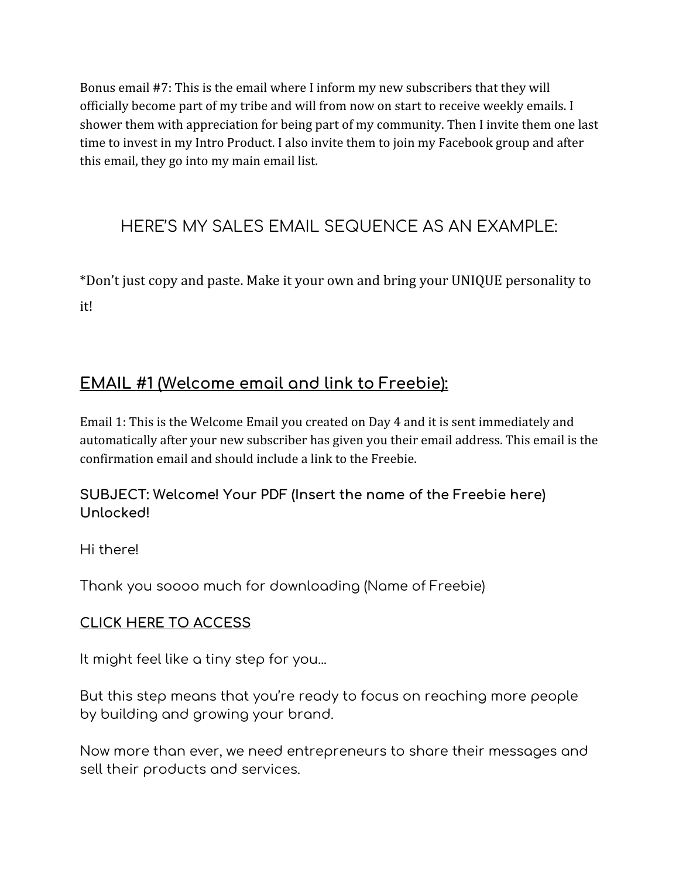Bonus email #7: This is the email where I inform my new subscribers that they will officially become part of my tribe and will from now on start to receive weekly emails. I shower them with appreciation for being part of my community. Then I invite them one last time to invest in my Intro Product. I also invite them to join my Facebook group and after this email, they go into my main email list.

# HERE'S MY SALES EMAIL SEQUENCE AS AN EXAMPLE:

\*Don't just copy and paste. Make it your own and bring your UNIQUE personality to it!

# **EMAIL #1 (Welcome email and link to Freebie):**

Email 1: This is the Welcome Email you created on Day 4 and it is sent immediately and automatically after your new subscriber has given you their email address. This email is the confirmation email and should include a link to the Freebie.

## **SUBJECT: Welcome! Your PDF (Insert the name of the Freebie here) Unlocked!**

Hi there!

Thank you soooo much for downloading (Name of Freebie)

## **CLICK HERE TO ACCESS**

It might feel like a tiny step for you...

But this step means that you're ready to focus on reaching more people by building and growing your brand.

Now more than ever, we need entrepreneurs to share their messages and sell their products and services.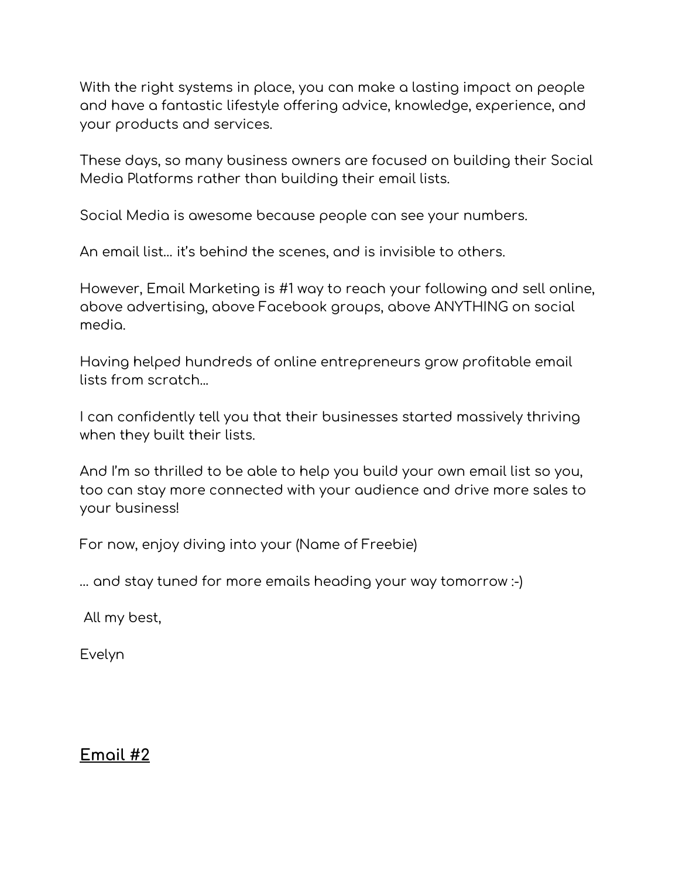With the right systems in place, you can make a lasting impact on people and have a fantastic lifestyle offering advice, knowledge, experience, and your products and services.

These days, so many business owners are focused on building their Social Media Platforms rather than building their email lists.

Social Media is awesome because people can see your numbers.

An email list… it's behind the scenes, and is invisible to others.

However, Email Marketing is #1 way to reach your following and sell online, above advertising, above Facebook groups, above ANYTHING on social media.

Having helped hundreds of online entrepreneurs grow profitable email lists from scratch...

I can confidently tell you that their businesses started massively thriving when they built their lists.

And I'm so thrilled to be able to help you build your own email list so you, too can stay more connected with your audience and drive more sales to your business!

For now, enjoy diving into your (Name of Freebie)

… and stay tuned for more emails heading your way tomorrow :-)

All my best,

Evelyn

## **Email #2**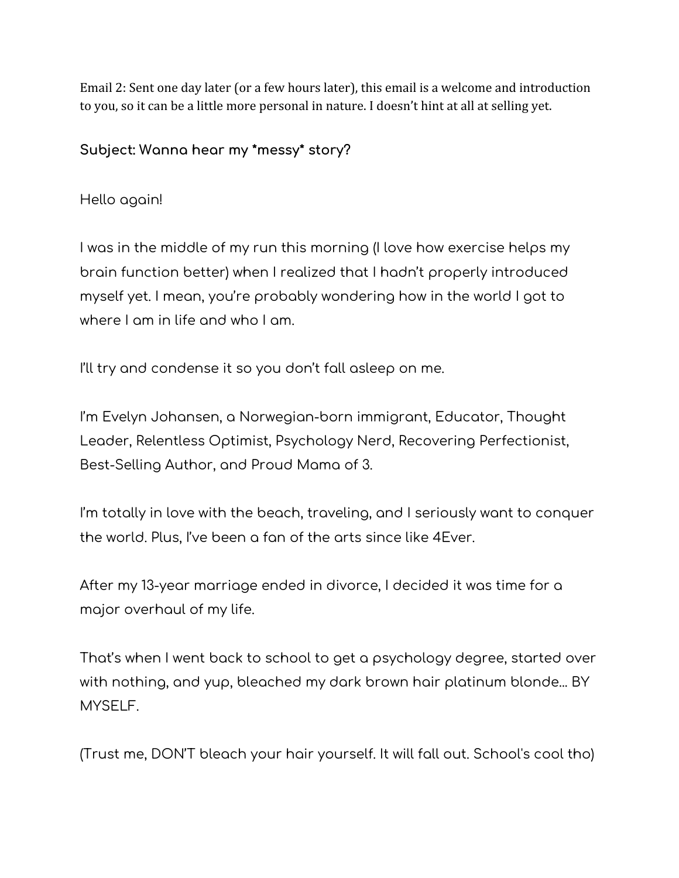Email 2: Sent one day later (or a few hours later), this email is a welcome and introduction to you, so it can be a little more personal in nature. I doesn't hint at all at selling yet.

**Subject: Wanna hear my \*messy\* story?**

Hello again!

I was in the middle of my run this morning (I love how exercise helps my brain function better) when I realized that I hadn't properly introduced myself yet. I mean, you're probably wondering how in the world I got to where I am in life and who I am.

I'll try and condense it so you don't fall asleep on me.

I'm Evelyn Johansen, a Norwegian-born immigrant, Educator, Thought Leader, Relentless Optimist, Psychology Nerd, Recovering Perfectionist, Best-Selling Author, and Proud Mama of 3.

I'm totally in love with the beach, traveling, and I seriously want to conquer the world. Plus, I've been a fan of the arts since like 4Ever.

After my 13-year marriage ended in divorce, I decided it was time for a major overhaul of my life.

That's when I went back to school to get a psychology degree, started over with nothing, and yup, bleached my dark brown hair platinum blonde... BY MYSELF.

(Trust me, DON'T bleach your hair yourself. It will fall out. School's cool tho)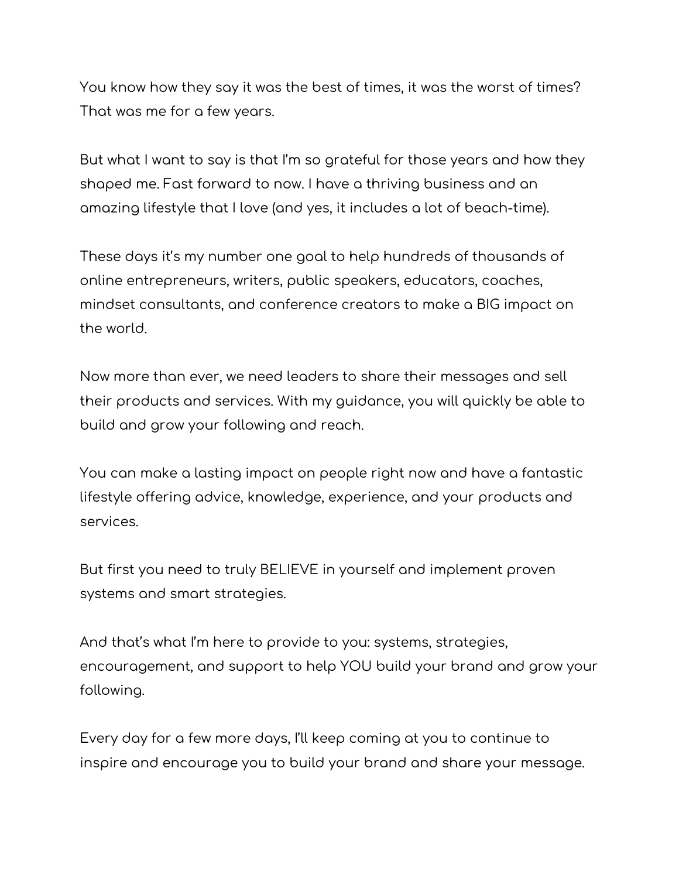You know how they say it was the best of times, it was the worst of times? That was me for a few years.

But what I want to say is that I'm so grateful for those years and how they shaped me. Fast forward to now. I have a thriving business and an amazing lifestyle that I love (and yes, it includes a lot of beach-time).

These days it's my number one goal to help hundreds of thousands of online entrepreneurs, writers, public speakers, educators, coaches, mindset consultants, and conference creators to make a BIG impact on the world.

Now more than ever, we need leaders to share their messages and sell their products and services. With my guidance, you will quickly be able to build and grow your following and reach.

You can make a lasting impact on people right now and have a fantastic lifestyle offering advice, knowledge, experience, and your products and services.

But first you need to truly BELIEVE in yourself and implement proven systems and smart strategies.

And that's what I'm here to provide to you: systems, strategies, encouragement, and support to help YOU build your brand and grow your following.

Every day for a few more days, I'll keep coming at you to continue to inspire and encourage you to build your brand and share your message.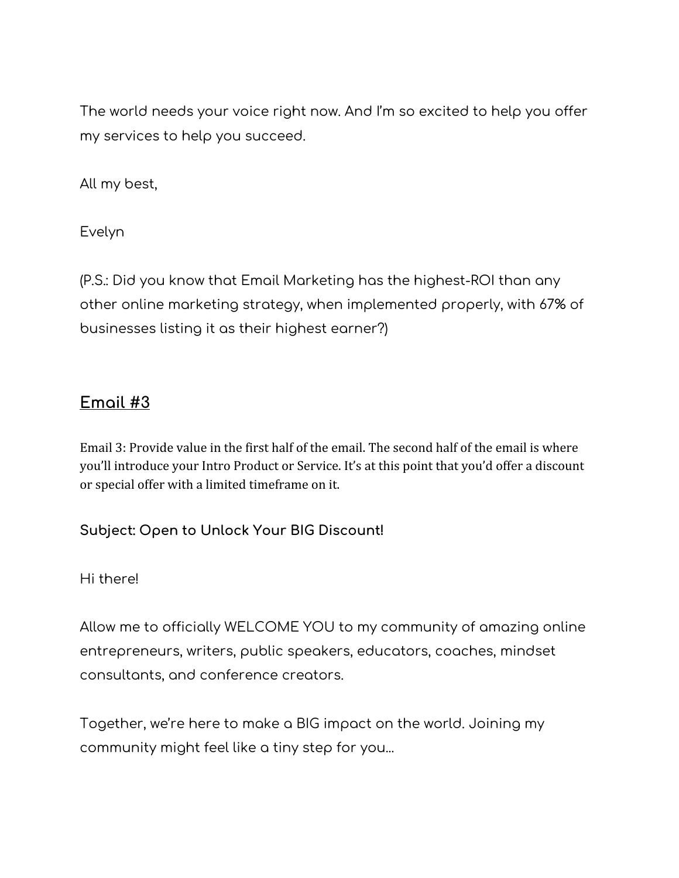The world needs your voice right now. And I'm so excited to help you offer my services to help you succeed.

All my best,

Evelyn

(P.S.: Did you know that Email Marketing has the highest-ROI than any other online marketing strategy, when implemented properly, with 67% of businesses listing it as their highest earner?)

## **Email #3**

Email 3: Provide value in the first half of the email. The second half of the email is where you'll introduce your Intro Product or Service. It's at this point that you'd offer a discount or special offer with a limited timeframe on it.

**Subject: Open to Unlock Your BIG Discount!**

Hi there!

Allow me to officially WELCOME YOU to my community of amazing online entrepreneurs, writers, public speakers, educators, coaches, mindset consultants, and conference creators.

Together, we're here to make a BIG impact on the world. Joining my community might feel like a tiny step for you...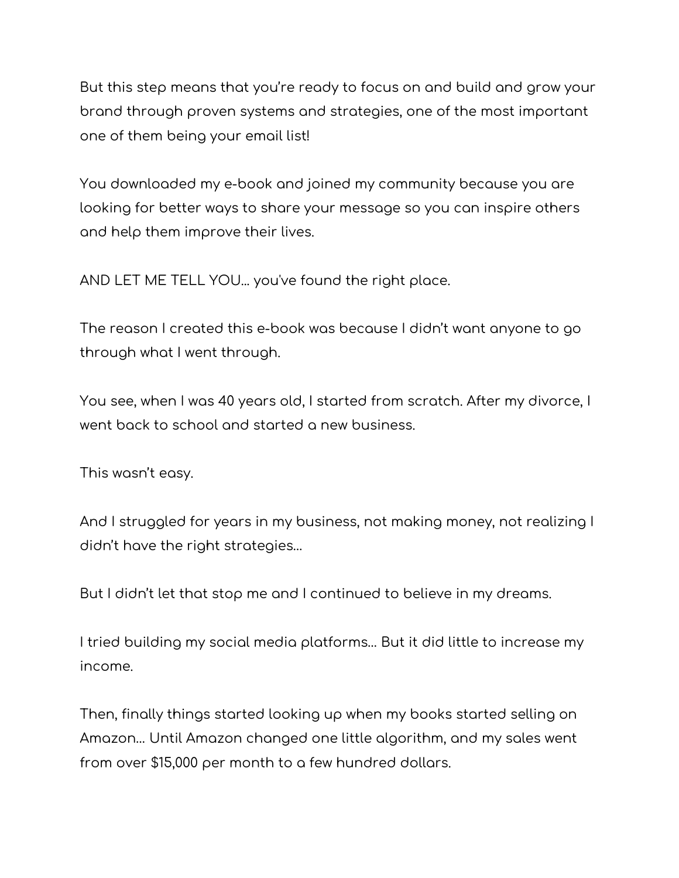But this step means that you're ready to focus on and build and grow your brand through proven systems and strategies, one of the most important one of them being your email list!

You downloaded my e-book and joined my community because you are looking for better ways to share your message so you can inspire others and help them improve their lives.

AND LET ME TELL YOU... you've found the right place.

The reason I created this e-book was because I didn't want anyone to go through what I went through.

You see, when I was 40 years old, I started from scratch. After my divorce, I went back to school and started a new business.

This wasn't easy.

And I struggled for years in my business, not making money, not realizing I didn't have the right strategies…

But I didn't let that stop me and I continued to believe in my dreams.

I tried building my social media platforms… But it did little to increase my income.

Then, finally things started looking up when my books started selling on Amazon… Until Amazon changed one little algorithm, and my sales went from over \$15,000 per month to a few hundred dollars.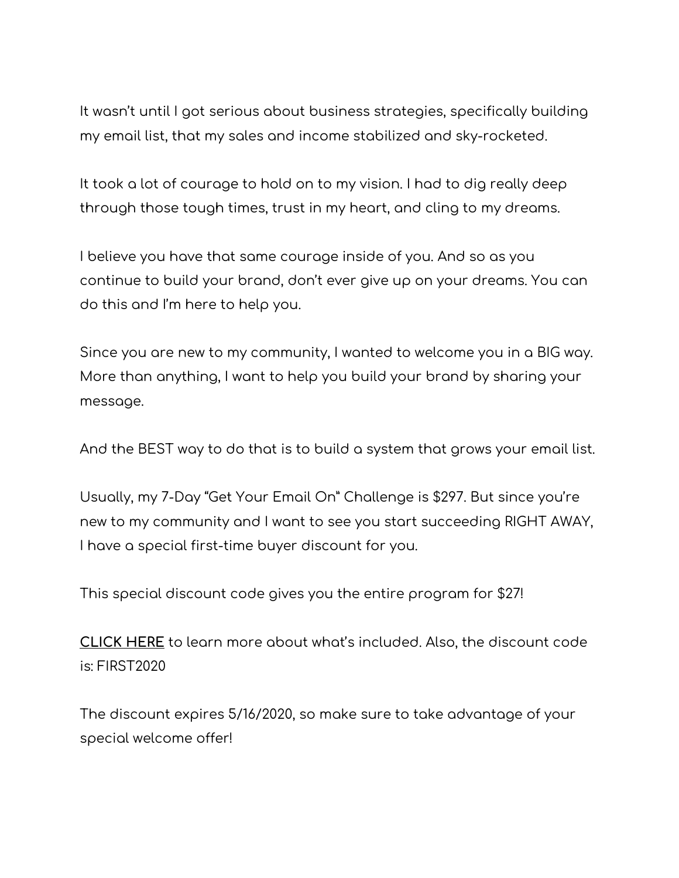It wasn't until I got serious about business strategies, specifically building my email list, that my sales and income stabilized and sky-rocketed.

It took a lot of courage to hold on to my vision. I had to dig really deep through those tough times, trust in my heart, and cling to my dreams.

I believe you have that same courage inside of you. And so as you continue to build your brand, don't ever give up on your dreams. You can do this and I'm here to help you.

Since you are new to my community, I wanted to welcome you in a BIG way. More than anything, I want to help you build your brand by sharing your message.

And the BEST way to do that is to build a system that grows your email list.

Usually, my 7-Day "Get Your Email On" Challenge is \$297. But since you're new to my community and I want to see you start succeeding RIGHT AWAY, I have a special first-time buyer discount for you.

This special discount code gives you the entire program for \$27!

**CLICK HERE** to learn more about what's included. Also, the discount code is: FIRST2020

The discount expires 5/16/2020, so make sure to take advantage of your special welcome offer!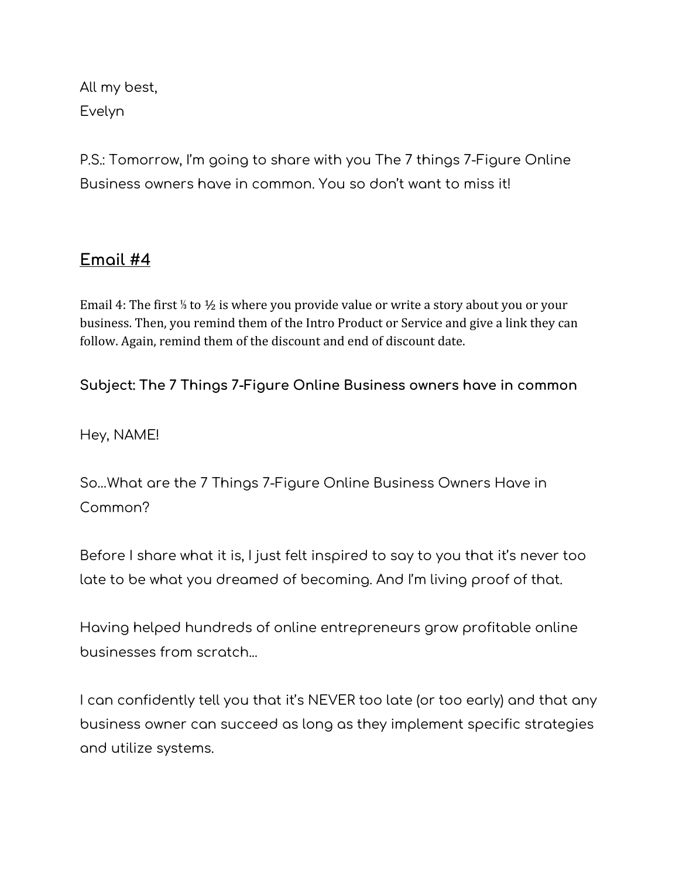All my best, Evelyn

P.S.: Tomorrow, I'm going to share with you The 7 things 7-Figure Online Business owners have in common. You so don't want to miss it!

## **Email #4**

Email 4: The first ⅓ to ½ is where you provide value or write a story about you or your business. Then, you remind them of the Intro Product or Service and give a link they can follow. Again, remind them of the discount and end of discount date.

**Subject: The 7 Things 7-Figure Online Business owners have in common**

Hey, NAME!

So…What are the 7 Things 7-Figure Online Business Owners Have in Common?

Before I share what it is, I just felt inspired to say to you that it's never too late to be what you dreamed of becoming. And I'm living proof of that.

Having helped hundreds of online entrepreneurs grow profitable online businesses from scratch...

I can confidently tell you that it's NEVER too late (or too early) and that any business owner can succeed as long as they implement specific strategies and utilize systems.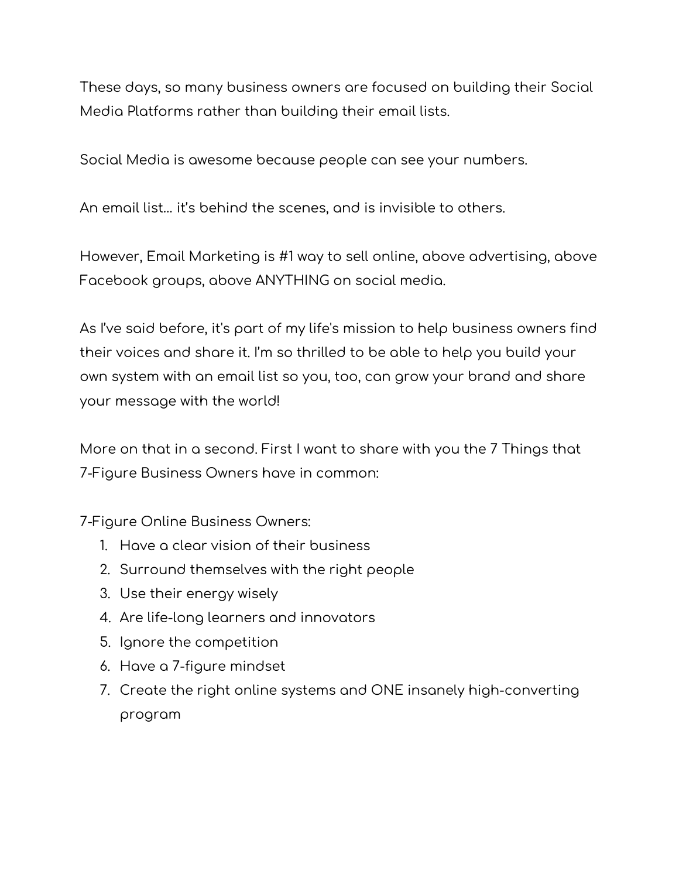These days, so many business owners are focused on building their Social Media Platforms rather than building their email lists.

Social Media is awesome because people can see your numbers.

An email list… it's behind the scenes, and is invisible to others.

However, Email Marketing is #1 way to sell online, above advertising, above Facebook groups, above ANYTHING on social media.

As I've said before, it's part of my life's mission to help business owners find their voices and share it. I'm so thrilled to be able to help you build your own system with an email list so you, too, can grow your brand and share your message with the world!

More on that in a second. First I want to share with you the 7 Things that 7-Figure Business Owners have in common:

7-Figure Online Business Owners:

- 1. Have a clear vision of their business
- 2. Surround themselves with the right people
- 3. Use their energy wisely
- 4. Are life-long learners and innovators
- 5. Ignore the competition
- 6. Have a 7-figure mindset
- 7. Create the right online systems and ONE insanely high-converting program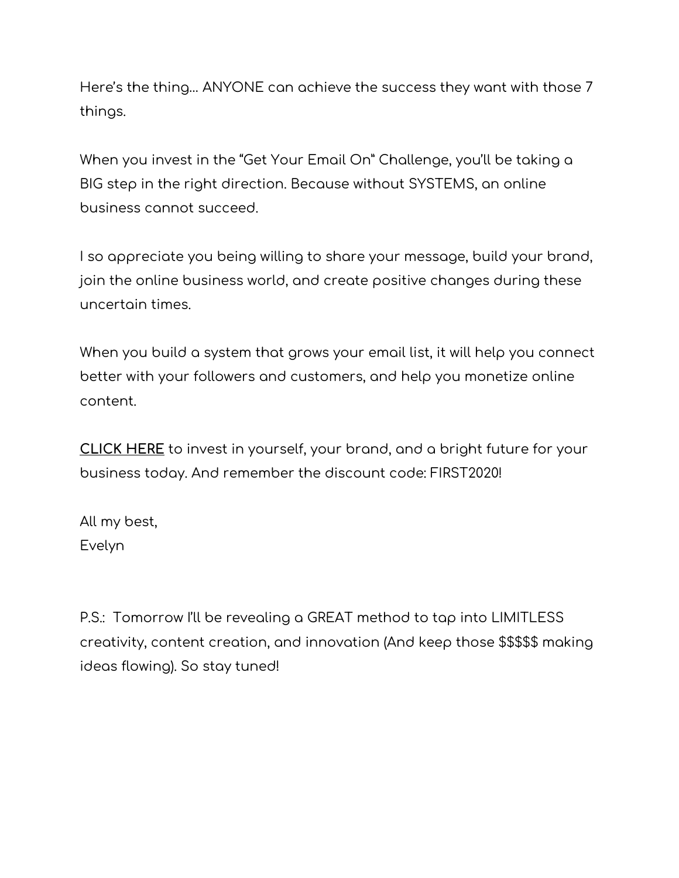Here's the thing… ANYONE can achieve the success they want with those 7 things.

When you invest in the "Get Your Email On" Challenge, you'll be taking a BIG step in the right direction. Because without SYSTEMS, an online business cannot succeed.

I so appreciate you being willing to share your message, build your brand, join the online business world, and create positive changes during these uncertain times.

When you build a system that grows your email list, it will help you connect better with your followers and customers, and help you monetize online content.

**CLICK HERE** to invest in yourself, your brand, and a bright future for your business today. And remember the discount code: FIRST2020!

All my best, Evelyn

P.S.: Tomorrow I'll be revealing a GREAT method to tap into LIMITLESS creativity, content creation, and innovation (And keep those \$\$\$\$\$ making ideas flowing). So stay tuned!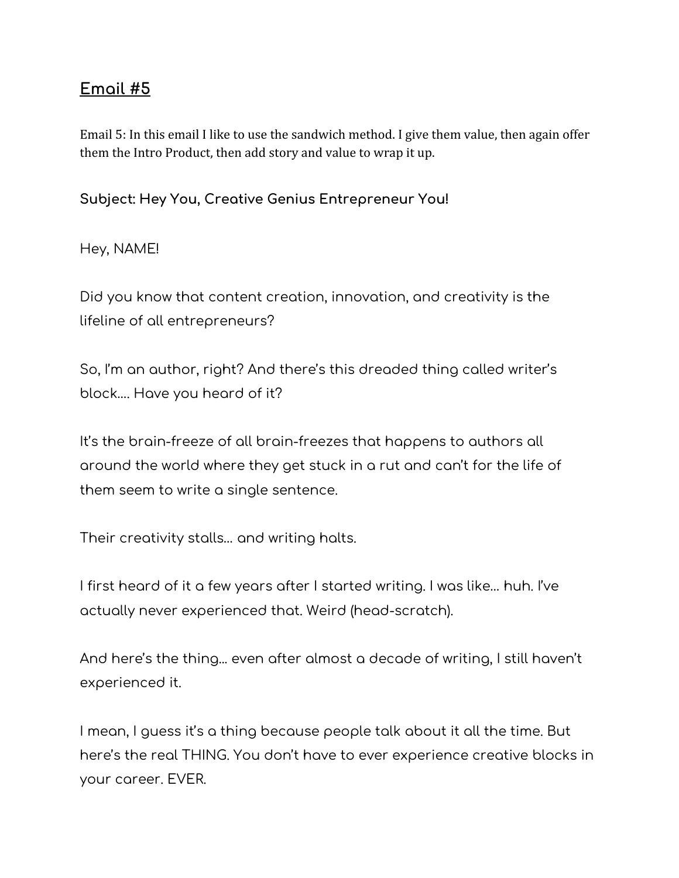## **Email #5**

Email 5: In this email I like to use the sandwich method. I give them value, then again offer them the Intro Product, then add story and value to wrap it up.

**Subject: Hey You, Creative Genius Entrepreneur You!**

Hey, NAME!

Did you know that content creation, innovation, and creativity is the lifeline of all entrepreneurs?

So, I'm an author, right? And there's this dreaded thing called writer's block…. Have you heard of it?

It's the brain-freeze of all brain-freezes that happens to authors all around the world where they get stuck in a rut and can't for the life of them seem to write a single sentence.

Their creativity stalls… and writing halts.

I first heard of it a few years after I started writing. I was like… huh. I've actually never experienced that. Weird (head-scratch).

And here's the thing... even after almost a decade of writing, I still haven't experienced it.

I mean, I guess it's a thing because people talk about it all the time. But here's the real THING. You don't have to ever experience creative blocks in your career. EVER.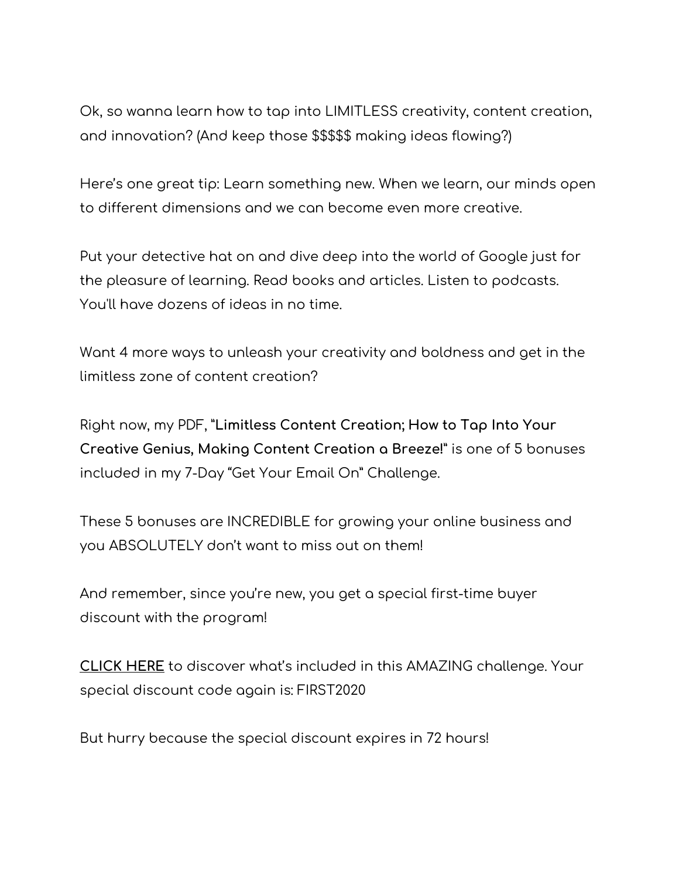Ok, so wanna learn how to tap into LIMITLESS creativity, content creation, and innovation? (And keep those \$\$\$\$\$ making ideas flowing?)

Here's one great tip: Learn something new. When we learn, our minds open to different dimensions and we can become even more creative.

Put your detective hat on and dive deep into the world of Google just for the pleasure of learning. Read books and articles. Listen to podcasts. You'll have dozens of ideas in no time.

Want 4 more ways to unleash your creativity and boldness and get in the limitless zone of content creation?

Right now, my PDF, "**Limitless Content Creation; How to Tap Into Your Creative Genius, Making Content Creation a Breeze!**" is one of 5 bonuses included in my 7-Day "Get Your Email On" Challenge.

These 5 bonuses are INCREDIBLE for growing your online business and you ABSOLUTELY don't want to miss out on them!

And remember, since you're new, you get a special first-time buyer discount with the program!

**CLICK HERE** to discover what's included in this AMAZING challenge. Your special discount code again is: FIRST2020

But hurry because the special discount expires in 72 hours!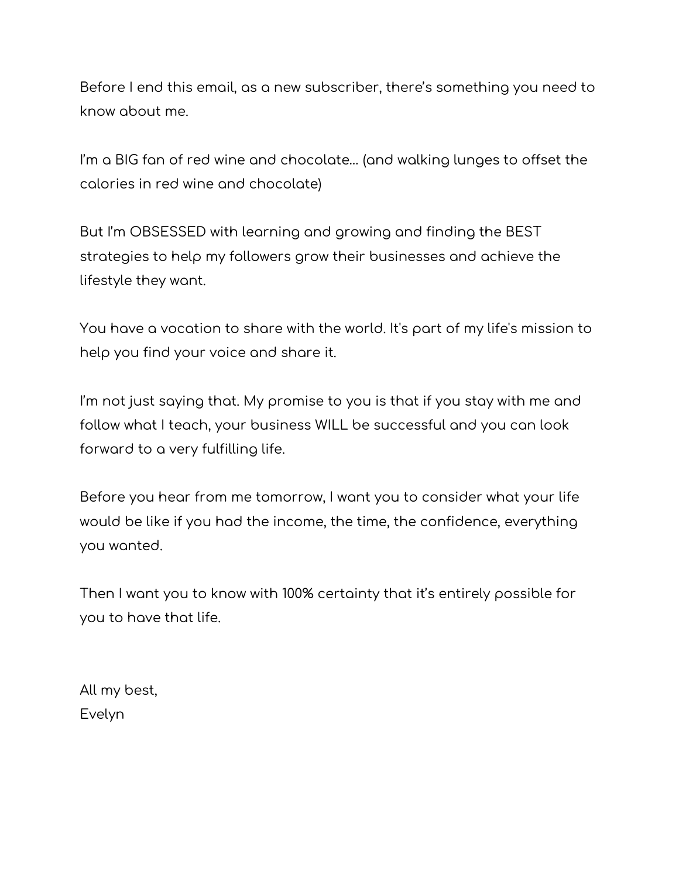Before I end this email, as a new subscriber, there's something you need to know about me.

I'm a BIG fan of red wine and chocolate… (and walking lunges to offset the calories in red wine and chocolate)

But I'm OBSESSED with learning and growing and finding the BEST strategies to help my followers grow their businesses and achieve the lifestyle they want.

You have a vocation to share with the world. It's part of my life's mission to help you find your voice and share it.

I'm not just saying that. My promise to you is that if you stay with me and follow what I teach, your business WILL be successful and you can look forward to a very fulfilling life.

Before you hear from me tomorrow, I want you to consider what your life would be like if you had the income, the time, the confidence, everything you wanted.

Then I want you to know with 100% certainty that it's entirely possible for you to have that life.

All my best, Evelyn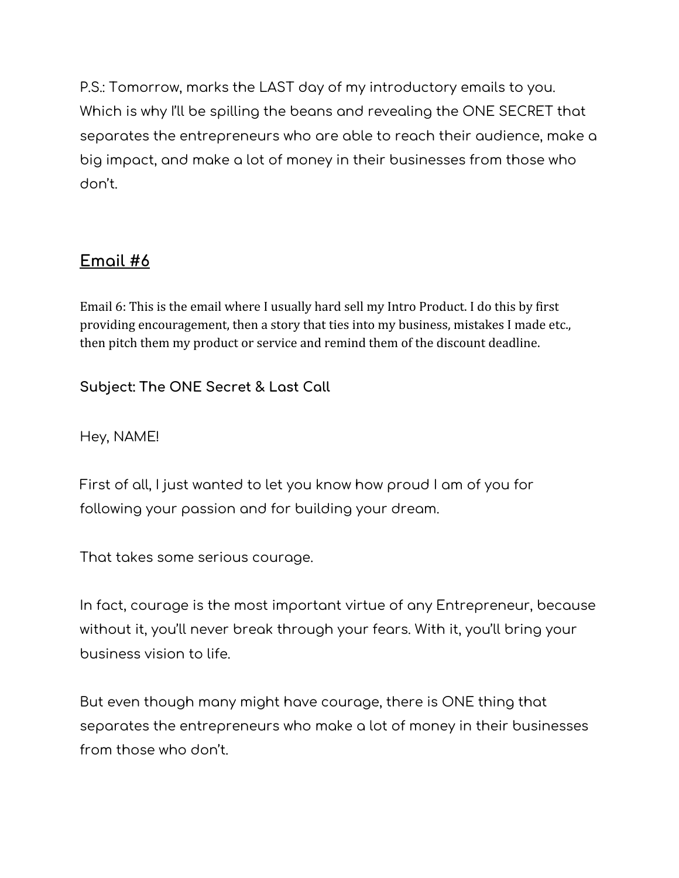P.S.: Tomorrow, marks the LAST day of my introductory emails to you. Which is why I'll be spilling the beans and revealing the ONE SECRET that separates the entrepreneurs who are able to reach their audience, make a big impact, and make a lot of money in their businesses from those who don't.

# **Email #6**

Email 6: This is the email where I usually hard sell my Intro Product. I do this by first providing encouragement, then a story that ties into my business, mistakes I made etc., then pitch them my product or service and remind them of the discount deadline.

**Subject: The ONE Secret & Last Call**

Hey, NAME!

First of all, I just wanted to let you know how proud I am of you for following your passion and for building your dream.

That takes some serious courage.

In fact, courage is the most important virtue of any Entrepreneur, because without it, you'll never break through your fears. With it, you'll bring your business vision to life.

But even though many might have courage, there is ONE thing that separates the entrepreneurs who make a lot of money in their businesses from those who don't.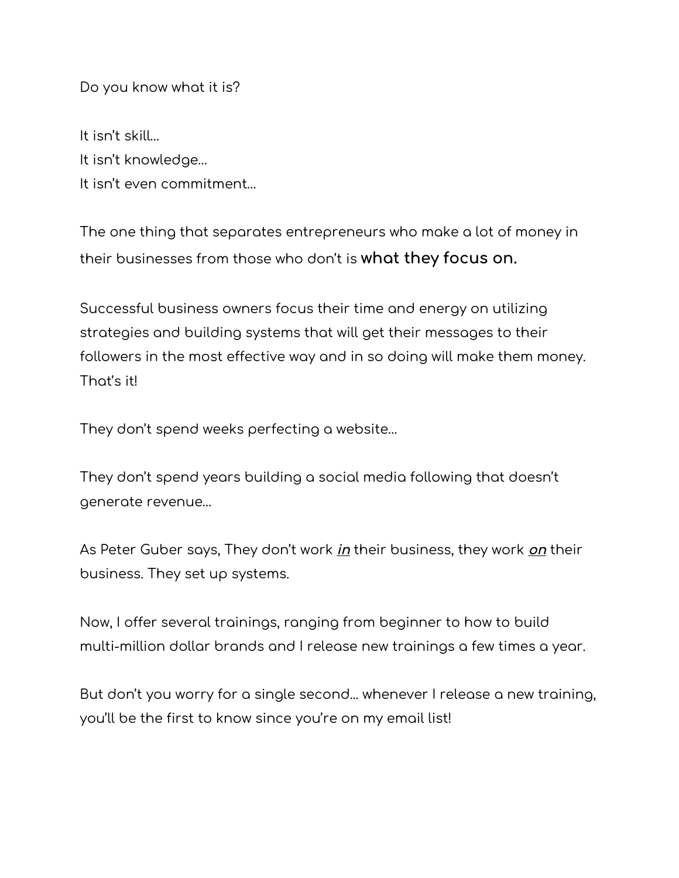Do you know what it is?

It isn't skill… It isn't knowledge… It isn't even commitment…

The one thing that separates entrepreneurs who make a lot of money in their businesses from those who don't is **what they focus on.**

Successful business owners focus their time and energy on utilizing strategies and building systems that will get their messages to their followers in the most effective way and in so doing will make them money. That's it!

They don't spend weeks perfecting a website…

They don't spend years building a social media following that doesn't generate revenue…

As Peter Guber says, They don't work **in** their business, they work **on** their business. They set up systems.

Now, I offer several trainings, ranging from beginner to how to build multi-million dollar brands and I release new trainings a few times a year.

But don't you worry for a single second... whenever I release a new training, you'll be the first to know since you're on my email list!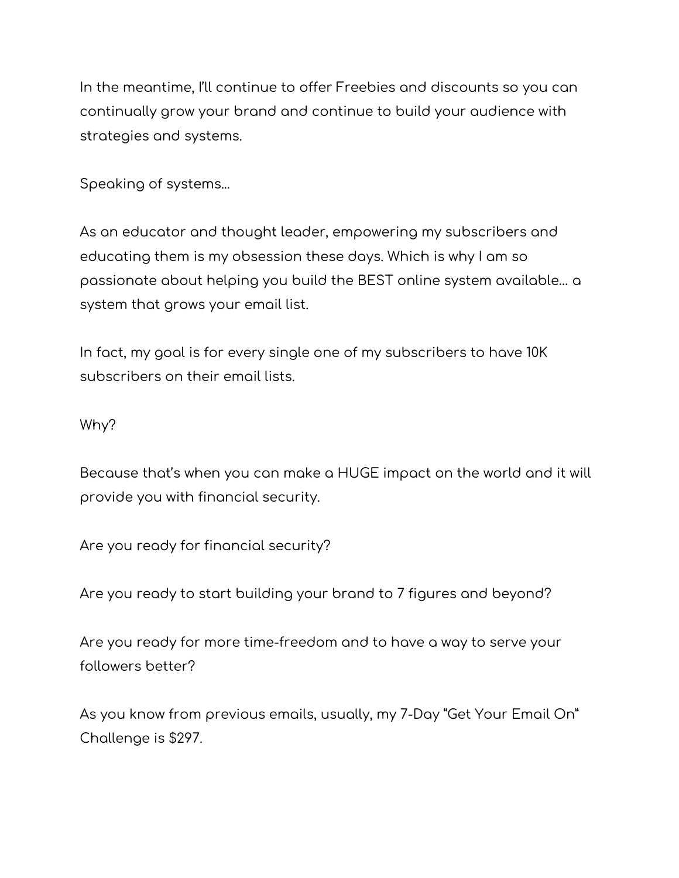In the meantime, I'll continue to offer Freebies and discounts so you can continually grow your brand and continue to build your audience with strategies and systems.

Speaking of systems...

As an educator and thought leader, empowering my subscribers and educating them is my obsession these days. Which is why I am so passionate about helping you build the BEST online system available… a system that grows your email list.

In fact, my goal is for every single one of my subscribers to have 10K subscribers on their email lists.

Why?

Because that's when you can make a HUGE impact on the world and it will provide you with financial security.

Are you ready for financial security?

Are you ready to start building your brand to 7 figures and beyond?

Are you ready for more time-freedom and to have a way to serve your followers better?

As you know from previous emails, usually, my 7-Day "Get Your Email On" Challenge is \$297.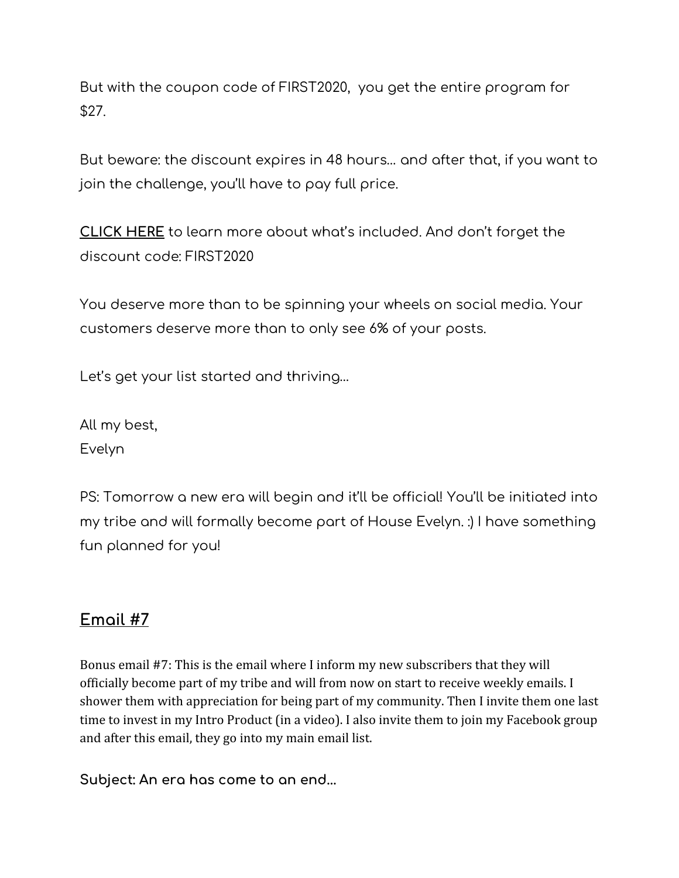But with the coupon code of FIRST2020, you get the entire program for \$27.

But beware: the discount expires in 48 hours… and after that, if you want to join the challenge, you'll have to pay full price.

**CLICK HERE** to learn more about what's included. And don't forget the discount code: FIRST2020

You deserve more than to be spinning your wheels on social media. Your customers deserve more than to only see 6% of your posts.

Let's get your list started and thriving…

All my best, Evelyn

PS: Tomorrow a new era will begin and it'll be official! You'll be initiated into my tribe and will formally become part of House Evelyn. :) I have something fun planned for you!

# **Email #7**

Bonus email #7: This is the email where I inform my new subscribers that they will officially become part of my tribe and will from now on start to receive weekly emails. I shower them with appreciation for being part of my community. Then I invite them one last time to invest in my Intro Product (in a video). I also invite them to join my Facebook group and after this email, they go into my main email list.

**Subject: An era has come to an end...**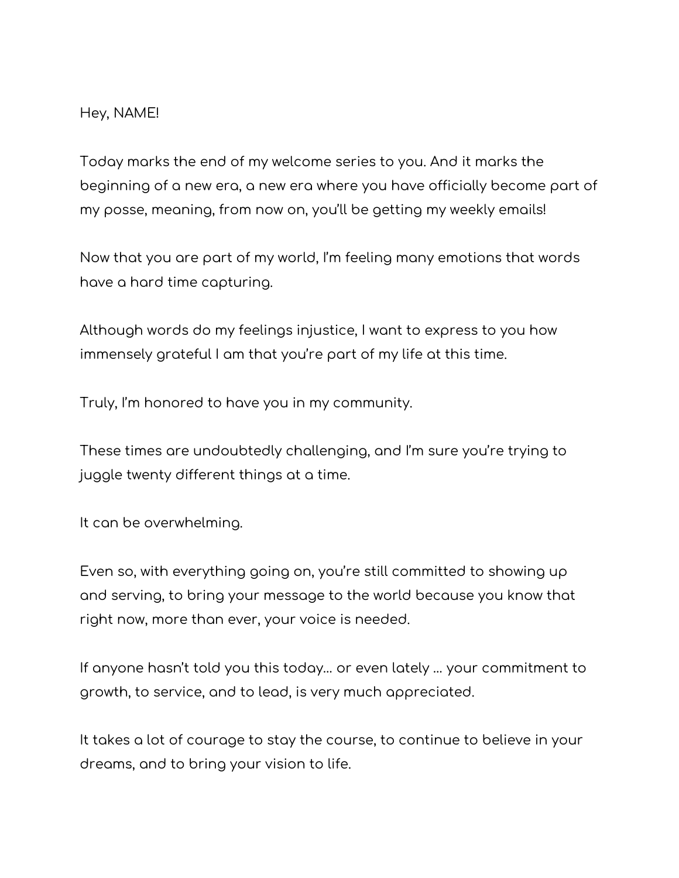#### Hey, NAME!

Today marks the end of my welcome series to you. And it marks the beginning of a new era, a new era where you have officially become part of my posse, meaning, from now on, you'll be getting my weekly emails!

Now that you are part of my world, I'm feeling many emotions that words have a hard time capturing.

Although words do my feelings injustice, I want to express to you how immensely grateful I am that you're part of my life at this time.

Truly, I'm honored to have you in my community.

These times are undoubtedly challenging, and I'm sure you're trying to juggle twenty different things at a time.

It can be overwhelming.

Even so, with everything going on, you're still committed to showing up and serving, to bring your message to the world because you know that right now, more than ever, your voice is needed.

If anyone hasn't told you this today… or even lately … your commitment to growth, to service, and to lead, is very much appreciated.

It takes a lot of courage to stay the course, to continue to believe in your dreams, and to bring your vision to life.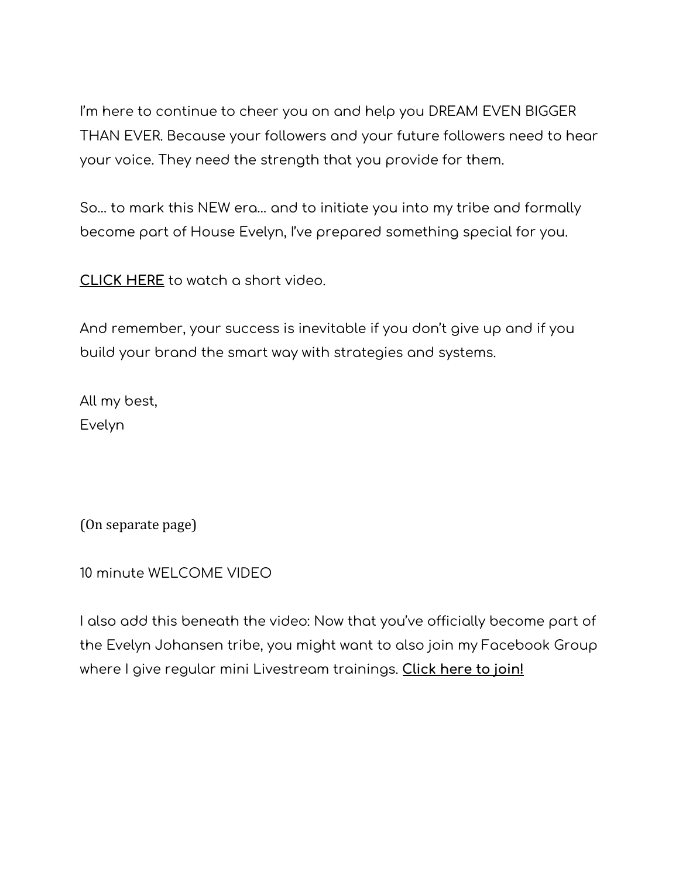I'm here to continue to cheer you on and help you DREAM EVEN BIGGER THAN EVER. Because your followers and your future followers need to hear your voice. They need the strength that you provide for them.

So… to mark this NEW era… and to initiate you into my tribe and formally become part of House Evelyn, I've prepared something special for you.

**CLICK HERE** to watch a short video.

And remember, your success is inevitable if you don't give up and if you build your brand the smart way with strategies and systems.

All my best, Evelyn

(On separate page)

10 minute WELCOME VIDEO

I also add this beneath the video: Now that you've officially become part of the Evelyn Johansen tribe, you might want to also join my Facebook Group where I give regular mini Livestream trainings. **Click here to join!**